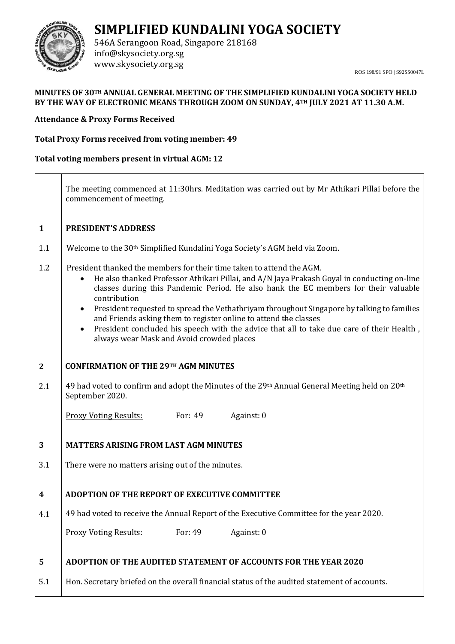

**SIMPLIFIED KUNDALINI YOGA SOCIETY**

546A Serangoon Road, Singapore 218168 info@skysociety.org.sg www.skysociety.org.sg

ROS 198/91 SPO | S92SS0047L

## **MINUTES OF 30TH ANNUAL GENERAL MEETING OF THE SIMPLIFIED KUNDALINI YOGA SOCIETY HELD BY THE WAY OF ELECTRONIC MEANS THROUGH ZOOM ON SUNDAY, 4TH JULY 2021 AT 11.30 A.M.**

## **Attendance & Proxy Forms Received**

## **Total Proxy Forms received from voting member: 49**

**Total voting members present in virtual AGM: 12**

**1** 1.1 1.2 **2** 2.1 **3** 3.1 **4** 4.1 **5** 5.1 The meeting commenced at 11:30hrs. Meditation was carried out by Mr Athikari Pillai before the commencement of meeting. **PRESIDENT'S ADDRESS** Welcome to the 30th Simplified Kundalini Yoga Society's AGM held via Zoom. President thanked the members for their time taken to attend the AGM. • He also thanked Professor Athikari Pillai, and A/N Jaya Prakash Goyal in conducting on-line classes during this Pandemic Period. He also hank the EC members for their valuable contribution • President requested to spread the Vethathriyam throughout Singapore by talking to families and Friends asking them to register online to attend the classes • President concluded his speech with the advice that all to take due care of their Health, always wear Mask and Avoid crowded places **CONFIRMATION OF THE 29TH AGM MINUTES** 49 had voted to confirm and adopt the Minutes of the 29<sup>th</sup> Annual General Meeting held on 20<sup>th</sup> September 2020. Proxy Voting Results: For: 49 Against: 0 **MATTERS ARISING FROM LAST AGM MINUTES** There were no matters arising out of the minutes. **ADOPTION OF THE REPORT OF EXECUTIVE COMMITTEE** 49 had voted to receive the Annual Report of the Executive Committee for the year 2020. Proxy Voting Results: For: 49 Against: 0 **ADOPTION OF THE AUDITED STATEMENT OF ACCOUNTS FOR THE YEAR 2020** Hon. Secretary briefed on the overall financial status of the audited statement of accounts.